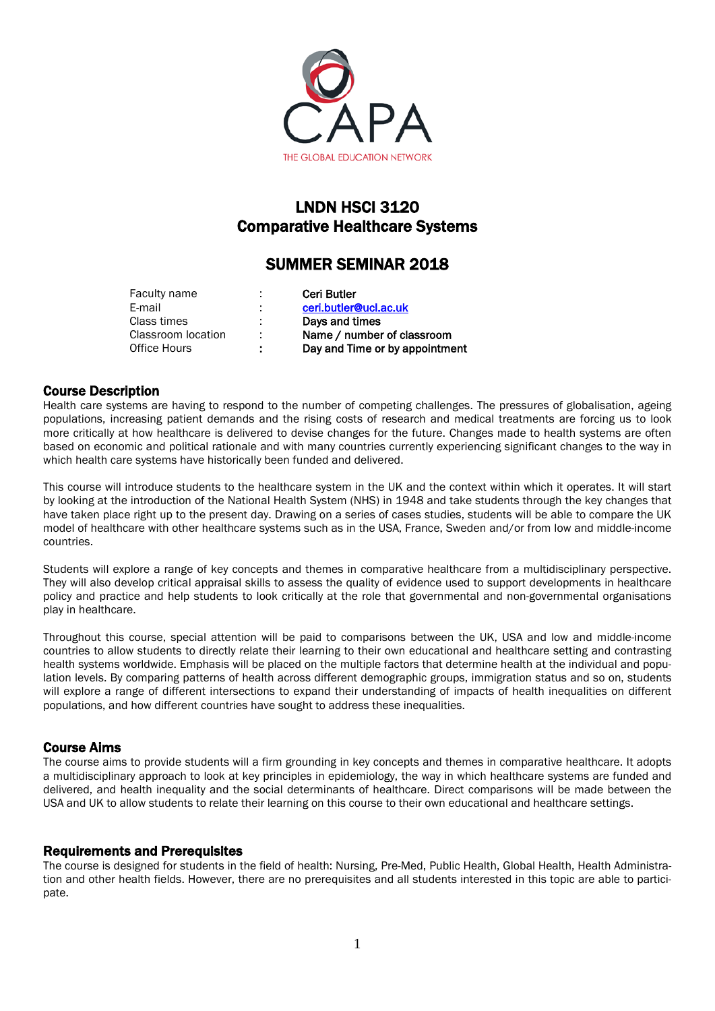

# LNDN HSCI 3120 Comparative Healthcare Systems

# SUMMER SEMINAR 2018

| Faculty name       |   | <b>Ceri Butler</b>             |
|--------------------|---|--------------------------------|
| E-mail             |   | ceri.butler@ucl.ac.uk          |
| Class times        |   | Days and times                 |
| Classroom location |   | Name / number of classroom     |
| Office Hours       | ٠ | Day and Time or by appointment |
|                    |   |                                |

# Course Description

Health care systems are having to respond to the number of competing challenges. The pressures of globalisation, ageing populations, increasing patient demands and the rising costs of research and medical treatments are forcing us to look more critically at how healthcare is delivered to devise changes for the future. Changes made to health systems are often based on economic and political rationale and with many countries currently experiencing significant changes to the way in which health care systems have historically been funded and delivered.

This course will introduce students to the healthcare system in the UK and the context within which it operates. It will start by looking at the introduction of the National Health System (NHS) in 1948 and take students through the key changes that have taken place right up to the present day. Drawing on a series of cases studies, students will be able to compare the UK model of healthcare with other healthcare systems such as in the USA, France, Sweden and/or from low and middle-income countries.

Students will explore a range of key concepts and themes in comparative healthcare from a multidisciplinary perspective. They will also develop critical appraisal skills to assess the quality of evidence used to support developments in healthcare policy and practice and help students to look critically at the role that governmental and non-governmental organisations play in healthcare.

Throughout this course, special attention will be paid to comparisons between the UK, USA and low and middle-income countries to allow students to directly relate their learning to their own educational and healthcare setting and contrasting health systems worldwide. Emphasis will be placed on the multiple factors that determine health at the individual and population levels. By comparing patterns of health across different demographic groups, immigration status and so on, students will explore a range of different intersections to expand their understanding of impacts of health inequalities on different populations, and how different countries have sought to address these inequalities.

# Course Aims

The course aims to provide students will a firm grounding in key concepts and themes in comparative healthcare. It adopts a multidisciplinary approach to look at key principles in epidemiology, the way in which healthcare systems are funded and delivered, and health inequality and the social determinants of healthcare. Direct comparisons will be made between the USA and UK to allow students to relate their learning on this course to their own educational and healthcare settings.

# Requirements and Prerequisites

The course is designed for students in the field of health: Nursing, Pre-Med, Public Health, Global Health, Health Administration and other health fields. However, there are no prerequisites and all students interested in this topic are able to participate.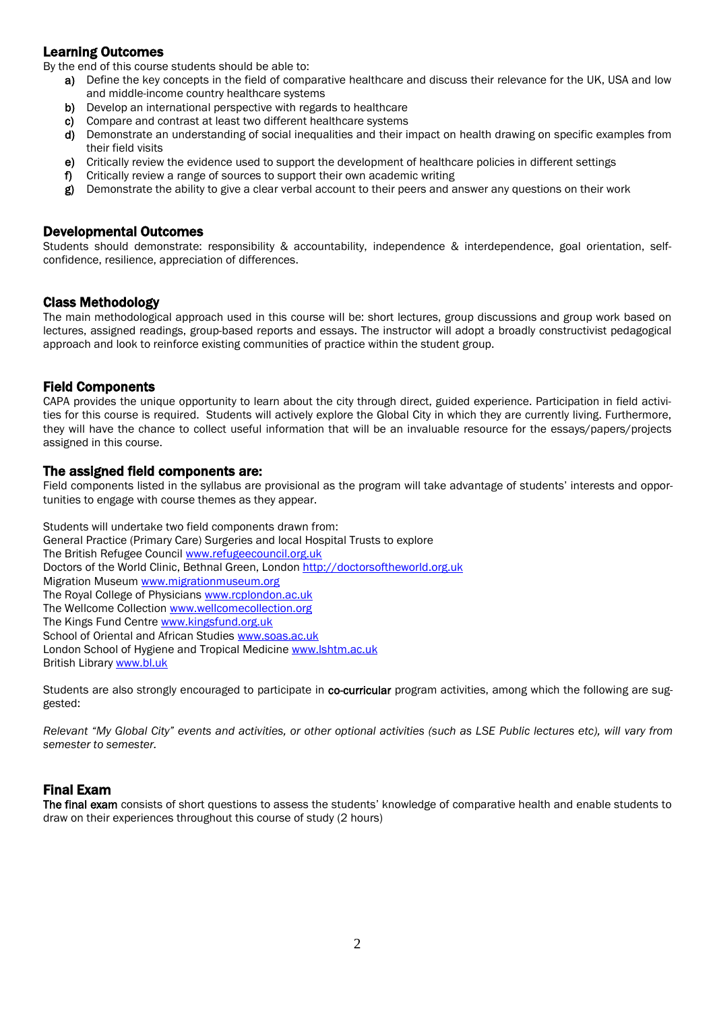# Learning Outcomes

By the end of this course students should be able to:

- a) Define the key concepts in the field of comparative healthcare and discuss their relevance for the UK, USA and low and middle-income country healthcare systems
- b) Develop an international perspective with regards to healthcare
- c) Compare and contrast at least two different healthcare systems
- d) Demonstrate an understanding of social inequalities and their impact on health drawing on specific examples from their field visits
- e) Critically review the evidence used to support the development of healthcare policies in different settings
- f) Critically review a range of sources to support their own academic writing
- g) Demonstrate the ability to give a clear verbal account to their peers and answer any questions on their work

## Developmental Outcomes

Students should demonstrate: responsibility & accountability, independence & interdependence, goal orientation, selfconfidence, resilience, appreciation of differences.

# Class Methodology

The main methodological approach used in this course will be: short lectures, group discussions and group work based on lectures, assigned readings, group-based reports and essays. The instructor will adopt a broadly constructivist pedagogical approach and look to reinforce existing communities of practice within the student group.

# Field Components

CAPA provides the unique opportunity to learn about the city through direct, guided experience. Participation in field activities for this course is required. Students will actively explore the Global City in which they are currently living. Furthermore, they will have the chance to collect useful information that will be an invaluable resource for the essays/papers/projects assigned in this course.

# The assigned field components are:

Field components listed in the syllabus are provisional as the program will take advantage of students' interests and opportunities to engage with course themes as they appear.

Students will undertake two field components drawn from: General Practice (Primary Care) Surgeries and local Hospital Trusts to explore The British Refugee Counci[l www.refugeecouncil.org.uk](http://www.refugeecouncil.org.uk/) Doctors of the World Clinic, Bethnal Green, London [http://doctorsoftheworld.org.uk](http://doctorsoftheworld.org.uk/) Migration Museum [www.migrationmuseum.org](http://www.migrationmuseum.org/) The Royal College of Physicians [www.rcplondon.ac.uk](http://www.rcplondon.ac.uk/) The Wellcome Collection [www.wellcomecollection.org](http://www.wellcomecollection.org/) The Kings Fund Centre [www.kingsfund.org.uk](http://www.kingsfund.org.uk/) School of Oriental and African Studies [www.soas.ac.uk](http://www.soas.ac.uk/) London School of Hygiene and Tropical Medicine [www.lshtm.ac.uk](http://www.lshtm.ac.uk/) British Librar[y www.bl.uk](http://www.bl.uk/)

Students are also strongly encouraged to participate in co-curricular program activities, among which the following are suggested:

*Relevant "My Global City" events and activities, or other optional activities (such as LSE Public lectures etc), will vary from semester to semester.*

# Final Exam

The final exam consists of short questions to assess the students' knowledge of comparative health and enable students to draw on their experiences throughout this course of study (2 hours)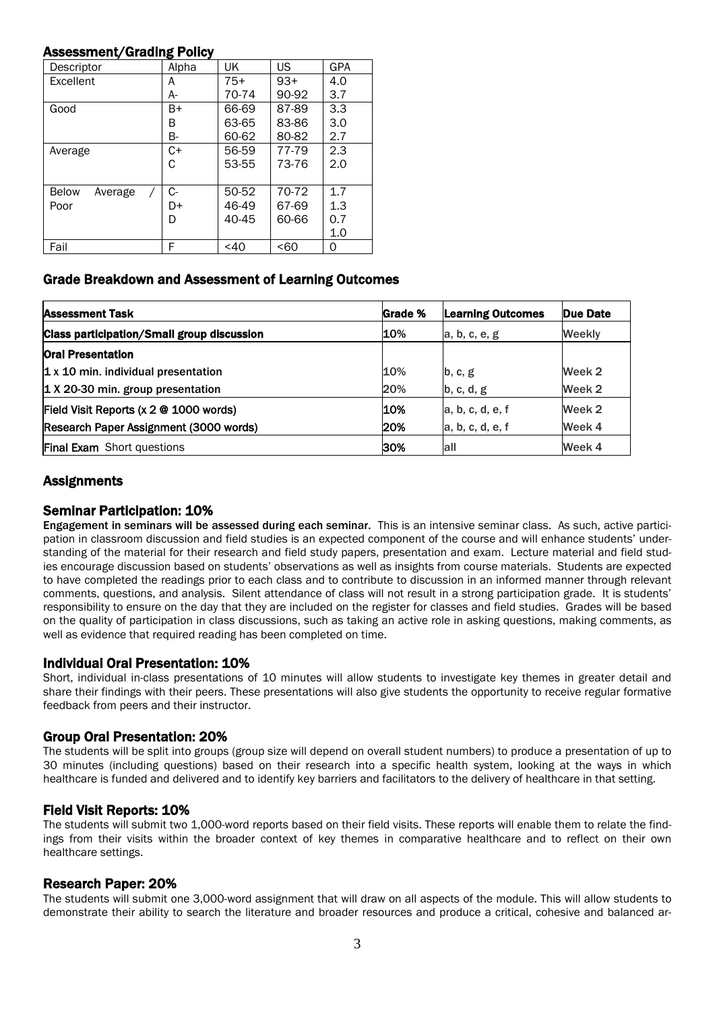### Assessment/Grading Policy

| Descriptor                          | Alpha | UK        | US    | <b>GPA</b> |
|-------------------------------------|-------|-----------|-------|------------|
| Excellent                           | A     | $75+$     | $93+$ | 4.0        |
|                                     | А-    | 70-74     | 90-92 | 3.7        |
| Good                                | B+    | 66-69     | 87-89 | 3.3        |
|                                     | В     | 63-65     | 83-86 | 3.0        |
|                                     | В-    | 60-62     | 80-82 | 2.7        |
| Average                             | C+    | 56-59     | 77-79 | 2.3        |
|                                     | C     | 53-55     | 73-76 | 2.0        |
|                                     |       |           |       |            |
| <b>Below</b><br>Average<br>$\prime$ | C-    | 50-52     | 70-72 | 1.7        |
| Poor                                | D+    | 46-49     | 67-69 | 1.3        |
|                                     | D     | $40 - 45$ | 60-66 | 0.7        |
|                                     |       |           |       | 1.0        |
| Fail                                | F     | $<$ 40    | < 60  | 0          |

# Grade Breakdown and Assessment of Learning Outcomes

| <b>Assessment Task</b>                            | Grade % | <b>Learning Outcomes</b> | Due Date      |
|---------------------------------------------------|---------|--------------------------|---------------|
| <b>Class participation/Small group discussion</b> | 10%     | a, b, c, e, g            | <b>Weekly</b> |
| <b>Oral Presentation</b>                          |         |                          |               |
| $1x 10$ min. individual presentation              | 10%     | b, c, g                  | Week 2        |
| 1 X 20-30 min. group presentation                 | 20%     | b, c, d, g               | Week 2        |
| Field Visit Reports (x 2 @ 1000 words)            | 10%     | a, b, c, d, e, f         | Week 2        |
| Research Paper Assignment (3000 words)            | 20%     | a, b, c, d, e, f         | Week 4        |
| <b>Final Exam</b> Short questions                 | 30%     | all                      | Week 4        |

# **Assignments**

**Seminar Participation: 10%**<br>Engagement in seminars will be assessed during each seminar. This is an intensive seminar class. As such, active participation in classroom discussion and field studies is an expected component of the course and will enhance students' understanding of the material for their research and field study papers, presentation and exam. Lecture material and field studies encourage discussion based on students' observations as well as insights from course materials. Students are expected to have completed the readings prior to each class and to contribute to discussion in an informed manner through relevant comments, questions, and analysis. Silent attendance of class will not result in a strong participation grade. It is students' responsibility to ensure on the day that they are included on the register for classes and field studies. Grades will be based on the quality of participation in class discussions, such as taking an active role in asking questions, making comments, as well as evidence that required reading has been completed on time.

### Individual Oral Presentation: 10%

Short, individual in-class presentations of 10 minutes will allow students to investigate key themes in greater detail and share their findings with their peers. These presentations will also give students the opportunity to receive regular formative feedback from peers and their instructor.

### Group Oral Presentation: 20%

The students will be split into groups (group size will depend on overall student numbers) to produce a presentation of up to 30 minutes (including questions) based on their research into a specific health system, looking at the ways in which healthcare is funded and delivered and to identify key barriers and facilitators to the delivery of healthcare in that setting.

### Field Visit Reports: 10%

The students will submit two 1,000-word reports based on their field visits. These reports will enable them to relate the findings from their visits within the broader context of key themes in comparative healthcare and to reflect on their own healthcare settings.

### Research Paper: 20%

The students will submit one 3,000-word assignment that will draw on all aspects of the module. This will allow students to demonstrate their ability to search the literature and broader resources and produce a critical, cohesive and balanced ar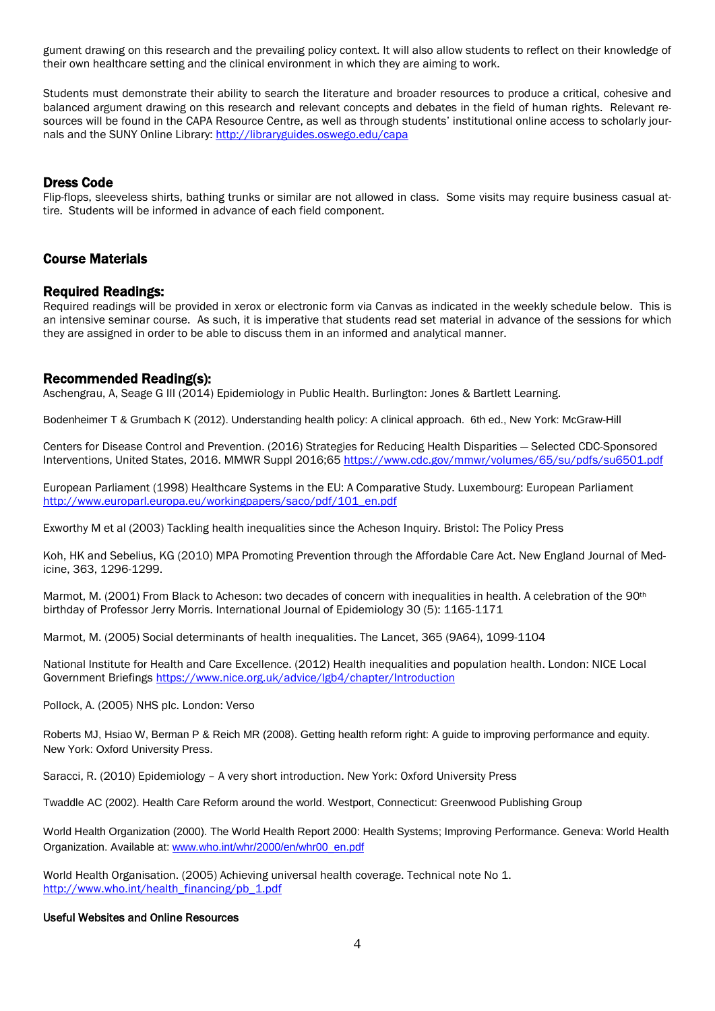gument drawing on this research and the prevailing policy context. It will also allow students to reflect on their knowledge of their own healthcare setting and the clinical environment in which they are aiming to work.

Students must demonstrate their ability to search the literature and broader resources to produce a critical, cohesive and balanced argument drawing on this research and relevant concepts and debates in the field of human rights. Relevant resources will be found in the CAPA Resource Centre, as well as through students' institutional online access to scholarly journals and the SUNY Online Library:<http://libraryguides.oswego.edu/capa>

### Dress Code

Flip-flops, sleeveless shirts, bathing trunks or similar are not allowed in class. Some visits may require business casual attire. Students will be informed in advance of each field component.

# Course Materials

#### Required Readings:

Required readings will be provided in xerox or electronic form via Canvas as indicated in the weekly schedule below. This is an intensive seminar course. As such, it is imperative that students read set material in advance of the sessions for which they are assigned in order to be able to discuss them in an informed and analytical manner.

### Recommended Reading(s):

Aschengrau, A, Seage G III (2014) Epidemiology in Public Health. Burlington: Jones & Bartlett Learning.

Bodenheimer T & Grumbach K (2012). Understanding health policy: A clinical approach. 6th ed., New York: McGraw-Hill

Centers for Disease Control and Prevention. (2016) Strategies for Reducing Health Disparities — Selected CDC-Sponsored Interventions, United States, 2016. MMWR Suppl 2016;65<https://www.cdc.gov/mmwr/volumes/65/su/pdfs/su6501.pdf>

European Parliament (1998) Healthcare Systems in the EU: A Comparative Study. Luxembourg: European Parliament [http://www.europarl.europa.eu/workingpapers/saco/pdf/101\\_en.pdf](http://www.europarl.europa.eu/workingpapers/saco/pdf/101_en.pdf)

Exworthy M et al (2003) Tackling health inequalities since the Acheson Inquiry. Bristol: The Policy Press

Koh, HK and Sebelius, KG (2010) MPA Promoting Prevention through the Affordable Care Act. New England Journal of Medicine, 363, 1296-1299.

Marmot, M. (2001) From Black to Acheson: two decades of concern with inequalities in health. A celebration of the 90<sup>th</sup> birthday of Professor Jerry Morris. International Journal of Epidemiology 30 (5): 1165-1171

Marmot, M. (2005) Social determinants of health inequalities. The Lancet, 365 (9A64), 1099-1104

National Institute for Health and Care Excellence. (2012) Health inequalities and population health. London: NICE Local Government Briefings<https://www.nice.org.uk/advice/lgb4/chapter/Introduction>

Pollock, A. (2005) NHS plc. London: Verso

Roberts MJ, Hsiao W, Berman P & Reich MR (2008). Getting health reform right: A guide to improving performance and equity. New York: Oxford University Press.

Saracci, R. (2010) Epidemiology – A very short introduction. New York: Oxford University Press

Twaddle AC (2002). Health Care Reform around the world. Westport, Connecticut: Greenwood Publishing Group

World Health Organization (2000). The World Health Report 2000: Health Systems; Improving Performance. Geneva: World Health Organization. Available at: [www.who.int/whr/2000/en/whr00\\_en.pdf](http://www.who.int/whr/2000/en/whr00_en.pdf)

World Health Organisation. (2005) Achieving universal health coverage. Technical note No 1. [http://www.who.int/health\\_financing/pb\\_1.pdf](http://www.who.int/health_financing/pb_1.pdf)

#### Useful Websites and Online Resources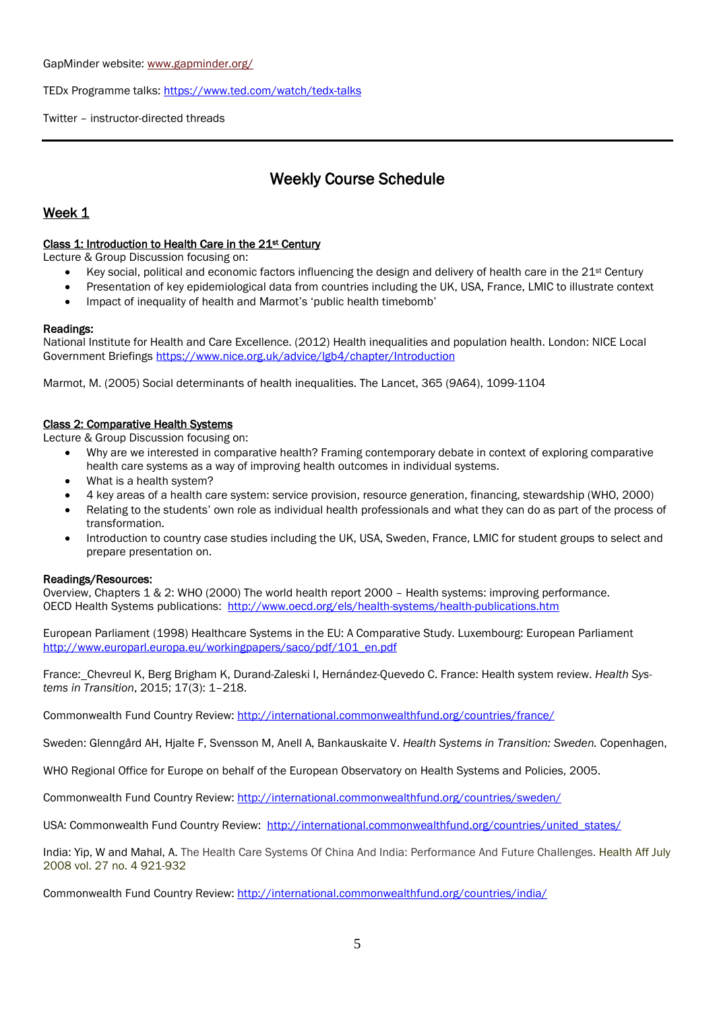GapMinder website[: www.gapminder.org/](http://www.gapminder.org/) 

TEDx Programme talks:<https://www.ted.com/watch/tedx-talks>

Twitter – instructor-directed threads

# Weekly Course Schedule

# Week 1

#### Class 1: Introduction to Health Care in the 21st Century

Lecture & Group Discussion focusing on:

- Key social, political and economic factors influencing the design and delivery of health care in the 21<sup>st</sup> Century
- Presentation of key epidemiological data from countries including the UK, USA, France, LMIC to illustrate context
- Impact of inequality of health and Marmot's 'public health timebomb'

#### Readings:

National Institute for Health and Care Excellence. (2012) Health inequalities and population health. London: NICE Local Government Briefings<https://www.nice.org.uk/advice/lgb4/chapter/Introduction>

Marmot, M. (2005) Social determinants of health inequalities. The Lancet, 365 (9A64), 1099-1104

### Class 2: Comparative Health Systems

Lecture & Group Discussion focusing on:

- Why are we interested in comparative health? Framing contemporary debate in context of exploring comparative health care systems as a way of improving health outcomes in individual systems.
- What is a health system?
- 4 key areas of a health care system: service provision, resource generation, financing, stewardship (WHO, 2000)
- Relating to the students' own role as individual health professionals and what they can do as part of the process of transformation.
- Introduction to country case studies including the UK, USA, Sweden, France, LMIC for student groups to select and prepare presentation on.

#### Readings/Resources:

Overview, Chapters 1 & 2: WHO (2000) The world health report 2000 – Health systems: improving performance. OECD Health Systems publications:<http://www.oecd.org/els/health-systems/health-publications.htm>

European Parliament (1998) Healthcare Systems in the EU: A Comparative Study. Luxembourg: European Parliament [http://www.europarl.europa.eu/workingpapers/saco/pdf/101\\_en.pdf](http://www.europarl.europa.eu/workingpapers/saco/pdf/101_en.pdf)

France: Chevreul K, Berg Brigham K, Durand-Zaleski I, Hernández-Quevedo C. France: Health system review. *Health Systems in Transition*, 2015; 17(3): 1–218.

Commonwealth Fund Country Review:<http://international.commonwealthfund.org/countries/france/>

Sweden: Glenngård AH, Hjalte F, Svensson M, Anell A, Bankauskaite V. *Health Systems in Transition: Sweden.* Copenhagen,

WHO Regional Office for Europe on behalf of the European Observatory on Health Systems and Policies, 2005.

Commonwealth Fund Country Review:<http://international.commonwealthfund.org/countries/sweden/>

USA: Commonwealth Fund Country Review: [http://international.commonwealthfund.org/countries/united\\_states/](http://international.commonwealthfund.org/countries/united_states/)

India: Yip, W and Mahal, A. The Health Care Systems Of China And India: Performance And Future Challenges. Health Aff July 2008 vol. 27 no. 4 921-932

Commonwealth Fund Country Review:<http://international.commonwealthfund.org/countries/india/>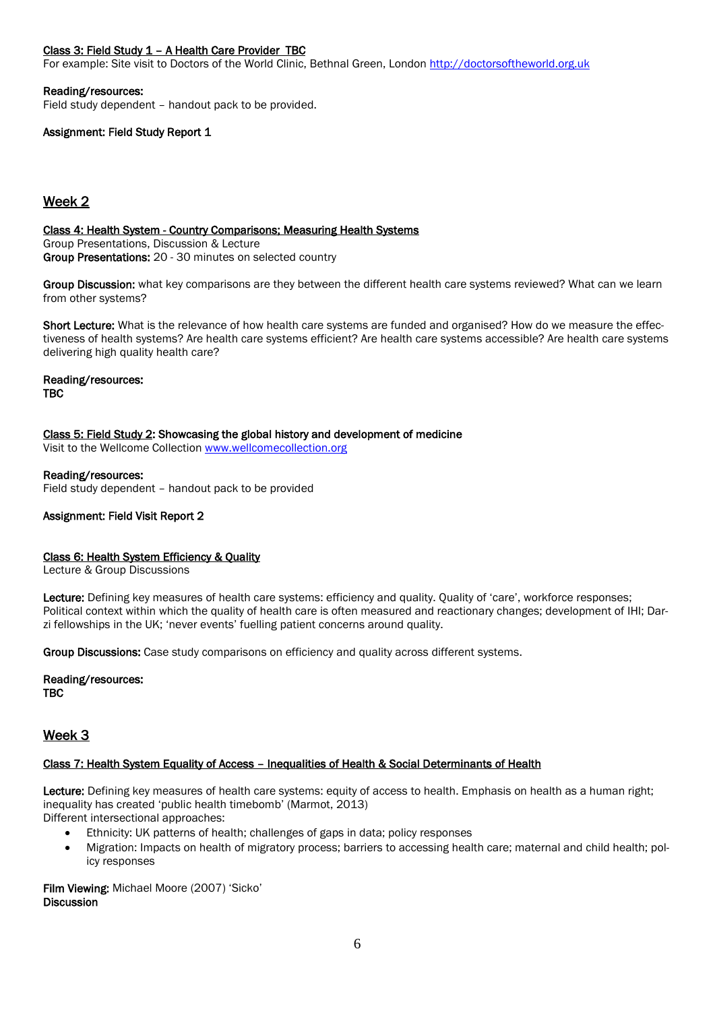#### Class 3: Field Study 1 – A Health Care Provider TBC

For example: Site visit to Doctors of the World Clinic, Bethnal Green, London [http://doctorsoftheworld.org.uk](http://doctorsoftheworld.org.uk/)

#### Reading/resources:

Field study dependent – handout pack to be provided.

#### Assignment: Field Study Report 1

## Week 2

Class 4: Health System - Country Comparisons; Measuring Health Systems Group Presentations, Discussion & Lecture Group Presentations: 20 - 30 minutes on selected country

Group Discussion: what key comparisons are they between the different health care systems reviewed? What can we learn from other systems?

Short Lecture: What is the relevance of how health care systems are funded and organised? How do we measure the effectiveness of health systems? Are health care systems efficient? Are health care systems accessible? Are health care systems delivering high quality health care?

Reading/resources: TBC

Class 5: Field Study 2: Showcasing the global history and development of medicine

Visit to the Wellcome Collectio[n www.wellcomecollection.org](http://www.wellcomecollection.org/)

Reading/resources:

Field study dependent – handout pack to be provided

#### Assignment: Field Visit Report 2

#### Class 6: Health System Efficiency & Quality

Lecture & Group Discussions

Lecture: Defining key measures of health care systems: efficiency and quality. Quality of 'care', workforce responses; Political context within which the quality of health care is often measured and reactionary changes; development of IHI; Darzi fellowships in the UK; 'never events' fuelling patient concerns around quality.

Group Discussions: Case study comparisons on efficiency and quality across different systems.

Reading/resources: TBC

# Week 3

#### Class 7: Health System Equality of Access – Inequalities of Health & Social Determinants of Health

Lecture: Defining key measures of health care systems: equity of access to health. Emphasis on health as a human right; inequality has created 'public health timebomb' (Marmot, 2013)

Different intersectional approaches:

- Ethnicity: UK patterns of health; challenges of gaps in data; policy responses
- Migration: Impacts on health of migratory process; barriers to accessing health care; maternal and child health; policy responses

Film Viewing: Michael Moore (2007) 'Sicko' **Discussion**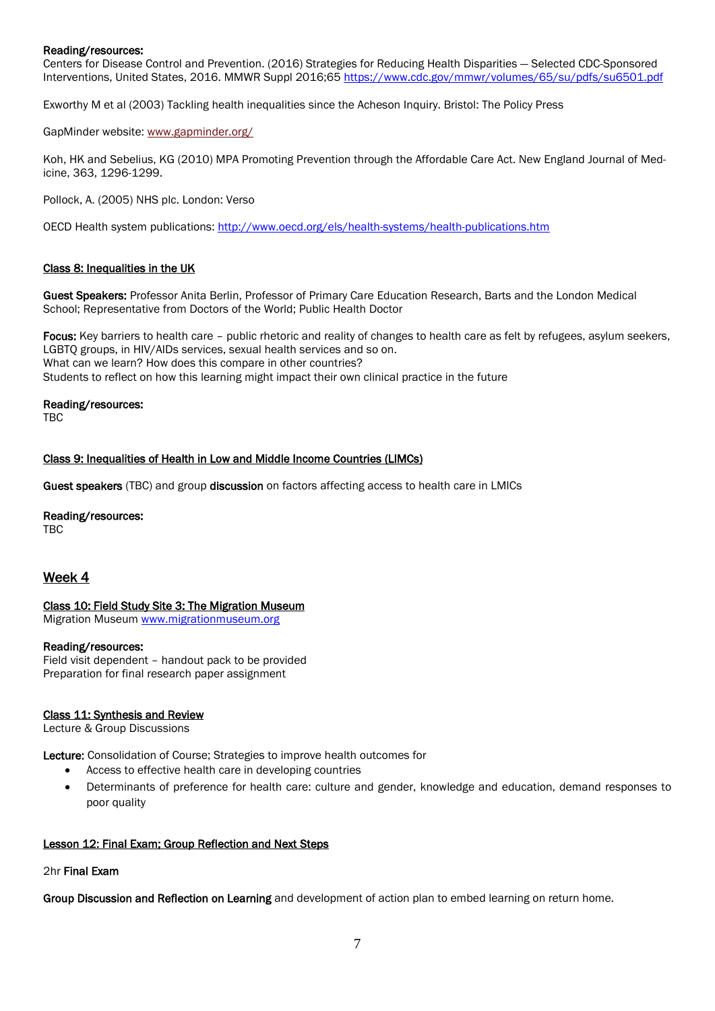#### Reading/resources:

Centers for Disease Control and Prevention. (2016) Strategies for Reducing Health Disparities — Selected CDC-Sponsored Interventions, United States, 2016. MMWR Suppl 2016;65<https://www.cdc.gov/mmwr/volumes/65/su/pdfs/su6501.pdf>

Exworthy M et al (2003) Tackling health inequalities since the Acheson Inquiry. Bristol: The Policy Press

GapMinder website[: www.gapminder.org/](http://www.gapminder.org/)

Koh, HK and Sebelius, KG (2010) MPA Promoting Prevention through the Affordable Care Act. New England Journal of Medicine, 363, 1296-1299.

Pollock, A. (2005) NHS plc. London: Verso

OECD Health system publications:<http://www.oecd.org/els/health-systems/health-publications.htm>

#### Class 8: Inequalities in the UK

Guest Speakers: Professor Anita Berlin, Professor of Primary Care Education Research, Barts and the London Medical School; Representative from Doctors of the World; Public Health Doctor

Focus: Key barriers to health care – public rhetoric and reality of changes to health care as felt by refugees, asylum seekers, LGBTQ groups, in HIV/AIDs services, sexual health services and so on. What can we learn? How does this compare in other countries? Students to reflect on how this learning might impact their own clinical practice in the future

#### Reading/resources:

TBC

#### Class 9: Inequalities of Health in Low and Middle Income Countries (LIMCs)

Guest speakers (TBC) and group discussion on factors affecting access to health care in LMICs

#### Reading/resources:

TBC

### Week 4

#### Class 10: Field Study Site 3: The Migration Museum

Migration Museum [www.migrationmuseum.org](http://www.migrationmuseum.org/)

#### Reading/resources:

Field visit dependent – handout pack to be provided Preparation for final research paper assignment

#### Class 11: Synthesis and Review

Lecture & Group Discussions

Lecture: Consolidation of Course; Strategies to improve health outcomes for

- Access to effective health care in developing countries
- Determinants of preference for health care: culture and gender, knowledge and education, demand responses to poor quality

#### Lesson 12: Final Exam; Group Reflection and Next Steps

#### 2hr Final Exam

Group Discussion and Reflection on Learning and development of action plan to embed learning on return home.